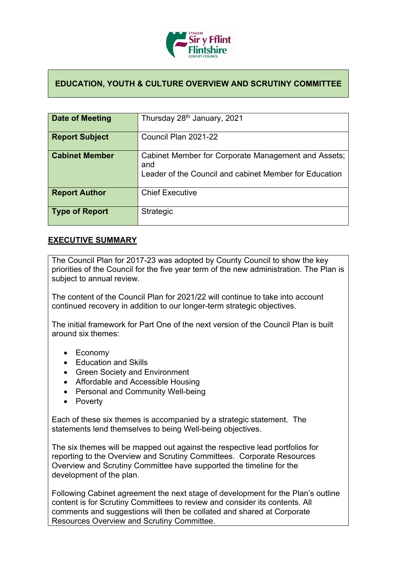

## **EDUCATION, YOUTH & CULTURE OVERVIEW AND SCRUTINY COMMITTEE**

| Date of Meeting       | Thursday 28 <sup>th</sup> January, 2021                                                                              |
|-----------------------|----------------------------------------------------------------------------------------------------------------------|
| <b>Report Subject</b> | Council Plan 2021-22                                                                                                 |
| <b>Cabinet Member</b> | Cabinet Member for Corporate Management and Assets;<br>and<br>Leader of the Council and cabinet Member for Education |
| <b>Report Author</b>  | <b>Chief Executive</b>                                                                                               |
| <b>Type of Report</b> | Strategic                                                                                                            |

## **EXECUTIVE SUMMARY**

The Council Plan for 2017-23 was adopted by County Council to show the key priorities of the Council for the five year term of the new administration. The Plan is subject to annual review.

The content of the Council Plan for 2021/22 will continue to take into account continued recovery in addition to our longer-term strategic objectives.

The initial framework for Part One of the next version of the Council Plan is built around six themes:

- Economy
- Education and Skills
- Green Society and Environment
- Affordable and Accessible Housing
- Personal and Community Well-being
- Poverty

Each of these six themes is accompanied by a strategic statement. The statements lend themselves to being Well-being objectives.

The six themes will be mapped out against the respective lead portfolios for reporting to the Overview and Scrutiny Committees. Corporate Resources Overview and Scrutiny Committee have supported the timeline for the development of the plan.

Following Cabinet agreement the next stage of development for the Plan's outline content is for Scrutiny Committees to review and consider its contents. All comments and suggestions will then be collated and shared at Corporate Resources Overview and Scrutiny Committee.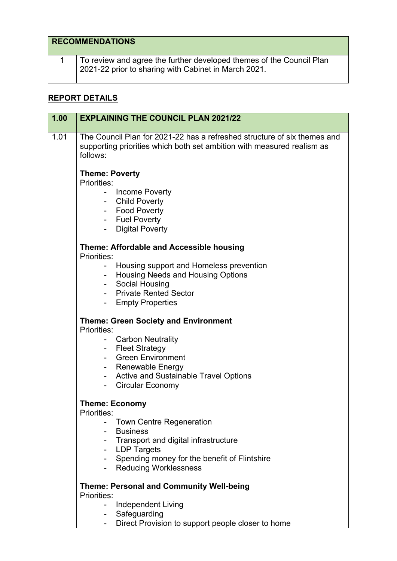| <b>RECOMMENDATIONS</b>                                                                                                       |
|------------------------------------------------------------------------------------------------------------------------------|
| To review and agree the further developed themes of the Council Plan<br>2021-22 prior to sharing with Cabinet in March 2021. |

## **REPORT DETAILS**

| 1.01<br>The Council Plan for 2021-22 has a refreshed structure of six themes and<br>supporting priorities which both set ambition with measured realism as<br>follows:<br><b>Theme: Poverty</b><br>Priorities:<br>Income Poverty |  |
|----------------------------------------------------------------------------------------------------------------------------------------------------------------------------------------------------------------------------------|--|
|                                                                                                                                                                                                                                  |  |
|                                                                                                                                                                                                                                  |  |
|                                                                                                                                                                                                                                  |  |
|                                                                                                                                                                                                                                  |  |
| <b>Child Poverty</b>                                                                                                                                                                                                             |  |
| - Food Poverty                                                                                                                                                                                                                   |  |
| - Fuel Poverty                                                                                                                                                                                                                   |  |
| <b>Digital Poverty</b>                                                                                                                                                                                                           |  |
| Theme: Affordable and Accessible housing                                                                                                                                                                                         |  |
| Priorities:                                                                                                                                                                                                                      |  |
| Housing support and Homeless prevention                                                                                                                                                                                          |  |
| Housing Needs and Housing Options                                                                                                                                                                                                |  |
| Social Housing<br><b>Private Rented Sector</b>                                                                                                                                                                                   |  |
|                                                                                                                                                                                                                                  |  |
| - Empty Properties                                                                                                                                                                                                               |  |
| <b>Theme: Green Society and Environment</b><br>Priorities:                                                                                                                                                                       |  |
| <b>Carbon Neutrality</b>                                                                                                                                                                                                         |  |
| - Fleet Strategy                                                                                                                                                                                                                 |  |
| <b>Green Environment</b>                                                                                                                                                                                                         |  |
| - Renewable Energy                                                                                                                                                                                                               |  |
| <b>Active and Sustainable Travel Options</b>                                                                                                                                                                                     |  |
| <b>Circular Economy</b>                                                                                                                                                                                                          |  |
| <b>Theme: Economy</b>                                                                                                                                                                                                            |  |
| <b>Priorities:</b>                                                                                                                                                                                                               |  |
| <b>Town Centre Regeneration</b>                                                                                                                                                                                                  |  |
| <b>Business</b>                                                                                                                                                                                                                  |  |
| Transport and digital infrastructure                                                                                                                                                                                             |  |
| <b>LDP Targets</b><br>$\qquad \qquad \blacksquare$                                                                                                                                                                               |  |
| Spending money for the benefit of Flintshire<br>$\overline{\phantom{0}}$                                                                                                                                                         |  |
| <b>Reducing Worklessness</b>                                                                                                                                                                                                     |  |
| <b>Theme: Personal and Community Well-being</b><br>Priorities:                                                                                                                                                                   |  |
|                                                                                                                                                                                                                                  |  |
| <b>Independent Living</b><br>Safeguarding                                                                                                                                                                                        |  |
| $\blacksquare$<br>Direct Provision to support people closer to home<br>$\blacksquare$                                                                                                                                            |  |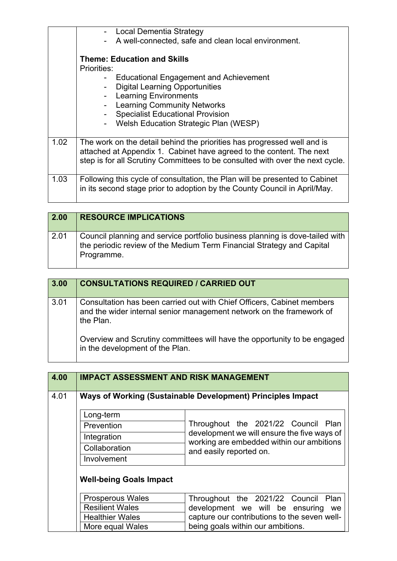|      | - Local Dementia Strategy<br>A well-connected, safe and clean local environment. |
|------|----------------------------------------------------------------------------------|
|      | <b>Theme: Education and Skills</b>                                               |
|      | <b>Priorities:</b>                                                               |
|      | <b>Educational Engagement and Achievement</b>                                    |
|      | <b>Digital Learning Opportunities</b>                                            |
|      | - Learning Environments                                                          |
|      | <b>Learning Community Networks</b>                                               |
|      | <b>Specialist Educational Provision</b>                                          |
|      | Welsh Education Strategic Plan (WESP)                                            |
|      |                                                                                  |
| 1.02 | The work on the detail behind the priorities has progressed well and is          |
|      | attached at Appendix 1. Cabinet have agreed to the content. The next             |
|      | step is for all Scrutiny Committees to be consulted with over the next cycle.    |
|      |                                                                                  |
| 1.03 | Following this cycle of consultation, the Plan will be presented to Cabinet      |
|      | in its second stage prior to adoption by the County Council in April/May.        |
|      |                                                                                  |

| 2.00 | <b>RESOURCE IMPLICATIONS</b>                                                                                                                                        |
|------|---------------------------------------------------------------------------------------------------------------------------------------------------------------------|
| 2.01 | Council planning and service portfolio business planning is dove-tailed with<br>the periodic review of the Medium Term Financial Strategy and Capital<br>Programme. |

| 3.00 | <b>CONSULTATIONS REQUIRED / CARRIED OUT</b>                                                                                                                 |
|------|-------------------------------------------------------------------------------------------------------------------------------------------------------------|
| 3.01 | Consultation has been carried out with Chief Officers, Cabinet members<br>and the wider internal senior management network on the framework of<br>the Plan. |
|      | Overview and Scrutiny committees will have the opportunity to be engaged<br>in the development of the Plan.                                                 |

| 4.00 |                                | <b>IMPACT ASSESSMENT AND RISK MANAGEMENT</b>                         |
|------|--------------------------------|----------------------------------------------------------------------|
| 4.01 |                                | Ways of Working (Sustainable Development) Principles Impact          |
|      | Long-term                      |                                                                      |
|      | Prevention                     | Throughout the 2021/22 Council Plan                                  |
|      | Integration                    | development we will ensure the five ways of                          |
|      | Collaboration                  | working are embedded within our ambitions<br>and easily reported on. |
|      | Involvement                    |                                                                      |
|      | <b>Well-being Goals Impact</b> |                                                                      |
|      | <b>Prosperous Wales</b>        | Throughout the 2021/22 Council Plan                                  |
|      | <b>Resilient Wales</b>         | development we will be ensuring<br>we                                |
|      | <b>Healthier Wales</b>         | capture our contributions to the seven well-                         |
|      | More equal Wales               | being goals within our ambitions.                                    |